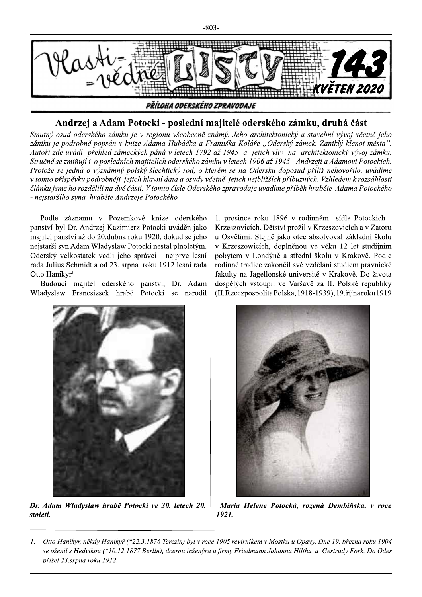

## Andrzej a Adam Potocki - poslední majitelé oderského zámku, druhá část

Smutný osud oderského zámku je v regionu všeobecně známý. Jeho architektonický a stavební vývoj včetně jeho zániku je podrobně popsán v knize Adama Hubáčka a Františka Koláře "Oderský zámek. Zaniklý klenot města". Autoři zde uvádí přehled zámeckých pánů v letech 1792 až 1945 a jejich vliv na architektonický vývoj zámku. Stručně se zmiňují i o posledních majitelích oderského zámku v letech 1906 až 1945 - Andrzeji a Adamovi Potockich. Protože se jedná o význámný polský šlechtický rod, o kterém se na Odersku doposud příliš nehovořilo, uvádíme v tomto příspěvku podrobněji jejich hlavní data a osudy včetně jejich nejbližších příbuzných. Vzhledem k rozsáhlosti článku jsme ho rozdělili na dvě části. V tomto čísle Oderského zpravodaje uvadíme příběh hraběte Adama Potockého - nejstaršího syna hraběte Andrzeje Potockého

Podle záznamu v Pozemkové knize oderského panství byl Dr. Andrzej Kazimierz Potocki uváděn jako majitel panství až do 20. dubna roku 1920, dokud se jeho nejstarší syn Adam Wladyslaw Potocki nestal plnoletým. Oderský velkostatek vedli jeho správci - nejprve lesní rada Julius Schmidt a od 23. srpna roku 1912 lesní rada Otto Hanikyr<sup>1</sup>

Budoucí majitel oderského panství, Dr. Adam Wladyslaw Francsizsek hrabě Potocki se narodil 1. prosince roku 1896 v rodinném sídle Potockich -Krzeszovicích. Dětství prožil v Krzeszovicích a v Zatoru u Osvětimi. Stejně jako otec absolvoval základní školu v Krzeszowicích, doplněnou ve věku 12 let studijním pobytem v Londýně a střední školu v Krakově. Podle rodinné tradice zakončil své vzdělání studiem právnické fakulty na Jagellonské universitě v Krakově. Do života dospělých vstoupil ve Varšavě za II. Polské republiky (II. Rzeczpospolita Polska, 1918-1939), 19. října roku 1919



Dr. Adam Wladyslaw hrabě Potocki ve 30. letech 20. století.



Maria Helene Potocká, rozená Dembiňska, v roce 1921.

Otto Hanikyr, někdy Hanikýř (\*22.3.1876 Terezín) byl v roce 1905 revírníkem v Mostku u Opavy. Dne 19. března roku 1904  $\mathcal{I}$ . se oženil s Hedvikou (\*10.12.1877 Berlín), dcerou inženýra u firmy Friedmann Johanna Hiltha a Gertrudy Fork. Do Oder přišel 23.srpna roku 1912.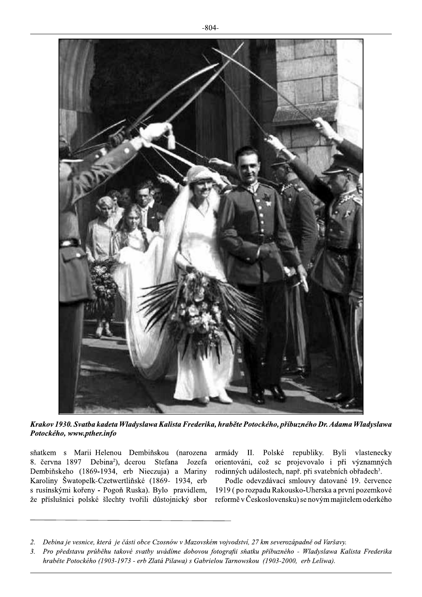

Krakov 1930. Svatba kadeta Wladyslawa Kalista Frederika, hraběte Potockého, příbuzného Dr. Adama Wladyslawa Potockého, www.pther.info

sňatkem s Marii Helenou Dembiňskou (narozena 8. června 1897 Debina<sup>2</sup>), dcerou Stefana Jozefa Dembiňskeho (1869-1934, erb Nieczuja) a Mariny Karoliny Šwatopelk-Czetwertliňské (1869- 1934, erb s rusínskými kořeny - Pogoň Ruska). Bylo pravidlem, že příslušníci polské šlechty tvořili důstojnický sbor armády II. Polské republiky. Byli vlastenecky orientováni, což sc projevovalo i při významných rodinných událostech, např. při svatebních obřadech<sup>3</sup>.

Podle odevzdávací smlouvy datované 19. července 1919 (po rozpadu Rakousko-Uherska a první pozemkové reformě v Československu) se novým majitelem oderkého

 $2.$ Debina je vesnice, která je části obce Czosnów v Mazovském vojvodství, 27 km severozápadně od Varšavy.

 $3.$ Pro představu průběhu takové svatby uvádíme dobovou fotografii sňatku příbuzného - Wladyslawa Kalista Frederika hraběte Potockého (1903-1973 - erb Zlatá Pilawa) s Gabrielou Tarnowskou (1903-2000, erb Leliwa).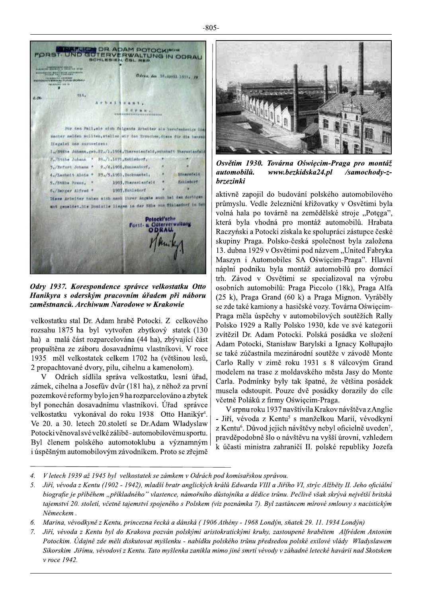$-805-$ 

FORST UND GUTERVERWALTUNG IN ODRAU **INSTRUMENT GRAND** ma 2007 has and Odran, den 36.April 1957; 19 TO A GRAND AND THE REAL PROPERTY. 014. B-DV D-10 17 14 Für den Fall, als sich folgende Arbeiter als harufsabsige tie macher melden sollten, stellen ein des Ernschen, diese für die herre Stegelet une surmeeteen; 1,/Stille Johann, geb. 22,/1,1904, Therestenfeld, wohnhaft Therestenfeld F./htthe Johann \* 20./1.1875.Kehlsdorf, 3./hefurt Johann \* #./4.1900, Eunisatorf,  $\overline{a}$ 4./Lachatt.alois \* 25./5.1901.2ucknamiel. Dimersfald **Estimate** 5./stmle Press, \* 1903, Therest enfeld ۷ 6./Berger Alfred \* 1907, Enkladerf Diese Arbeiter haben sich nach ihrer Angebe such hat des duringen mt geneldet.Ite Douisile liegen in der muhe von fiklandnef in der Potocki'sche vallung Forst ODRAU.

Odry 1937. Korespondence správce velkostatku Otto Hanikyra s oderským pracovním úřadem při náboru zaměstnanců. Archiwum Narodowe w Krakowie

velkostatku stal Dr. Adam hrabě Potocki. Z celkového rozsahu 1875 ha byl vytvořen zbytkový statek (130 ha) a malá část rozparcelována (44 ha), zbývající část propuštěna ze záboru dosavadnímu vlastníkovi. V roce 1935 měl velkostatek celkem 1702 ha (většinou lesů, 2 propachtované dvory, pilu, cihelnu a kamenolom).

V Odrách sídlila správa velkostatku, lesní úřad, zámek, cihelna a Josefův dvůr (181 ha), z něhož za první pozemkové reformy bylo jen 9 ha rozparcelováno a zbytek byl ponechán dosavadnímu vlastníkovi. Úřad správce velkostatku vykonával do roku 1938 Otto Hanikýr<sup>4</sup>. Ve 20. a 30. letech 20. století se Dr. Adam Wladyslaw Potocki věnoval své velké zálibě - automobilovému sportu. Byl členem polského automotoklubu a významným i úspěšným automobilovým závodníkem. Proto se zřejmě



Osvětim 1930. Továrna Oświęcim-Praga pro montáž automobilů. www.bezkidska24.pl /samochody-z*brzezinki* 

aktivně zapojil do budování polského automobilového průmyslu. Vedle železniční křižovatky v Osvětimi byla volná hala po továrně na zemědělské stroje "Potega", která byla vhodná pro montáž automobilů. Hrabata Raczyński a Potocki získala ke spolupráci zástupce české skupiny Praga. Polsko-česká společnost byla založena 13. dubna 1929 v Osvětimi pod názvem "United Fabryka Maszyn i Automobiles SA Oświęcim-Praga". Hlavní náplní podniku byla montáž automobilů pro domácí trh. Závod v Osvětimi se specializoval na výrobu osobních automobilů: Praga Piccolo (18k), Praga Alfa (25 k), Praga Grand (60 k) a Praga Mignon. Vyráběly se zde také kamiony a hasičské vozy. Továrna Oświęcim-Praga měla úspěchy v automobilových soutěžích Rally Polsko 1929 a Rally Polsko 1930, kde ve své kategorii zvítězil Dr. Adam Potocki. Polská posádka ve složení Adam Potocki, Stanisław Barylski a Ignacy Kołłupajło se také zúčastnila mezinárodní soutěže v závodě Monte Carlo Rally v zimě roku 1931 s 8 válcovým Grand modelem na trase z moldavského města Jasy do Monte Carla. Podmínky byly tak špatné, že většina posádek musela odstoupit. Pouze dvě posádky dorazily do cíle včetně Poláků z firmy Oświecim-Praga.

V srpnu roku 1937 navštívila Krakov návštěva z Anglie - Jiří, vévoda z Kentu<sup>5</sup> s manželkou Marií, vévodkyní z Kentu<sup>6</sup>. Důvod jejich návštěvy nebyl oficielně uveden<sup>7</sup>, pravděpodobně šlo o návštěvu na vyšší úrovni, vzhledem k účasti ministra zahraničí II. polské republiky Jozefa

 $\overline{4}$ . V letech 1939 až 1945 byl velkostatek se zámkem v Odrách pod komisařskou správou.

Jiří, vévoda z Kentu (1902 - 1942), mladší bratr anglických králů Edwarda VIII a Jiřího VI, strýc Alžběty II. Jeho oficiální  $5<sub>1</sub>$ biografie je příběhem "příkladného" vlastence, námořního důstojníka a dědice trůnu. Pečlivě však skrývá největší britská tajemství 20. století, včetně tajemství spojeného s Polskem (viz poznámka 7). Byl zastáncem mírové smlouvy s nacistickým Německem.

Marina, vévodkyně z Kentu, princezna řecká a dánská (1906 Athény - 1968 Londýn, sňatek 29. 11. 1934 Londýn) 6.

 $7.$ Jiří, vévoda z Kentu byl do Krakova pozván polskými aristokratickými kruhy, zastoupené hrabětem Alfrédem Antonim Potockim. Údajně zde měli diskutovat myšlenku - nabídku polského trůnu předsedou polské exilové vlády Wladyslawem Sikorskim Jiřímu, vévodovi z Kentu. Tato myšlenka zanikla mimo jiné smrtí vévody v záhadné letecké havárii nad Skotskem v roce 1942.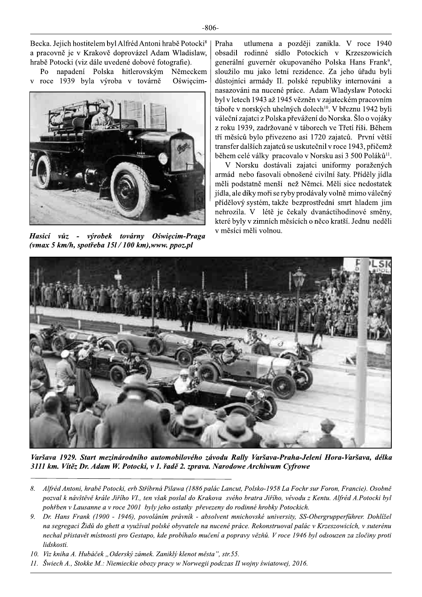Becka. Jejich hostitelem byl Alfréd Antoni hrabě Potocki<sup>8</sup> a pracovně je v Krakově doprovázel Adam Wladislaw, hrabě Potocki (viz dále uvedené dobové fotografie).

Po napadení Polska hitlerovským Německem roce 1939 byla výroba v továrně Oświecim- $\bar{\mathbf{V}}$ 



Hasicí vůz - výrobek továrny Oświęcim-Praga (vmax 5 km/h, spotřeba  $15l/100$  km), www. ppoz.pl

utlumena a později zanikla. V roce 1940 Praha obsadil rodinné sídlo Potockich v Krzeszowicích generální guvernér okupovaného Polska Hans Frank<sup>9</sup>, sloužilo mu jako letní rezidence. Za jeho úřadu byli důstojníci armády II. polské republiky internováni a nasazováni na nucené práce. Adam Wladyslaw Potocki byl v letech 1943 až 1945 vězněn v zajateckém pracovním táboře v norských uhelných dolech<sup>10</sup>. V březnu 1942 byli váleční zajatci z Polska převážení do Norska. Šlo o vojáky z roku 1939, zadržované v táborech ve Třetí říši. Během tří měsíců bylo přivezeno asi 1720 zajatců. První větší transfer dalších zajatců se uskutečnil v roce 1943, přičemž během celé války pracovalo v Norsku asi 3 500 Poláků<sup>11</sup>.

V Norsku dostávali zajatci uniformy poražených armád nebo fasovali obnošené civilní šaty. Příděly jídla měli podstatně menší než Němci. Měli sice nedostatek jídla, ale díky moři se ryby prodávaly volně mimo válečný přídělový systém, takže bezprostřední smrt hladem jim nehrozila. V létě je čekaly dvanáctihodinové směny, které byly v zimních měsících o něco kratší. Jednu neděli v měsíci měli volnou.



Varšava 1929. Start mezinárodního automobilového závodu Rally Varšava-Praha-Jelení Hora-Varšava, délka 3111 km. Vítěz Dr. Adam W. Potocki, v 1. řadě 2. zprava. Narodowe Archiwum Cyfrowe

- 8. Alfréd Antoni, hrabě Potocki, erb Stříbrná Pilawa (1886 palác Lancut, Polsko-1958 La Fochr sur Foron, Francie). Osobně pozval k návštěvě krále Jiřího VI., ten však poslal do Krakova svého bratra Jiřího, vévodu z Kentu. Alfréd A.Potocki byl pohřben v Lausanne a v roce 2001 byly jeho ostatky převezeny do rodinné hrobky Potockich.
- 9. Dr. Hans Frank (1900 - 1946), povoláním právník - absolvent mnichovské university, SS-Obergrupperführer. Dohlížel na segregaci Židů do ghett a využíval polské obyvatele na nucené práce. Rekonstruoval palác v Krzeszowicích, v suterénu nechal přistavět místnosti pro Gestapo, kde probíhalo mučení a popravy vězňů. V roce 1946 byl odsouzen za zločiny proti lidskosti.
- 10. Viz kniha A. Hubáček "Oderský zámek. Zaniklý klenot města", str.55.
- 11. Šwiech A., Stokke M.: Niemieckie obozy pracy w Norwegii podczas II wojny światowej, 2016.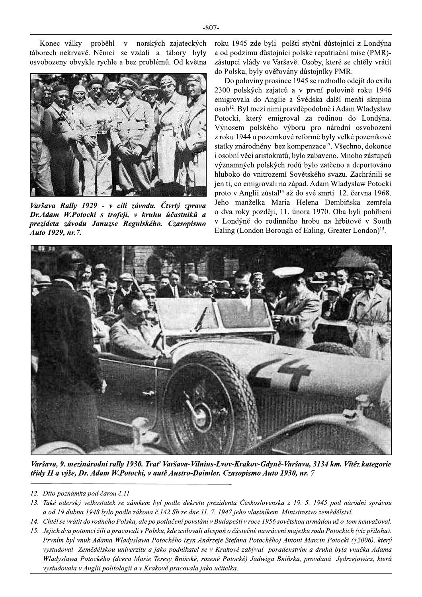Konec války proběhl v norských zajateckých táborech nekrvavě. Němci se vzdali a tábory byly osvobozeny obvykle rychle a bez problémů. Od května



Varšava Rally 1929 - v cíli závodu. Čtvrtý zprava Dr. Adam W. Potocki s trofejí, v kruhu účastníků a prezideta závodu Januzse Regulského. Czasopismo Auto 1929, nr.7.

roku 1945 zde byli polští styční důstojníci z Londýna a od podzimu důstojníci polské repatriační mise (PMR)zástupci vlády ve Varšavě. Osoby, které se chtěly vrátit do Polska, byly ověřovány důstojníky PMR.

Do poloviny prosince 1945 se rozhodlo odejít do exilu 2300 polských zajatců a v první polovině roku 1946 emigrovala do Anglie a Švédska další menší skupina osob<sup>12</sup>. Byl mezi nimi pravděpodobně i Adam Wladyslaw Potocki, který emigroval za rodinou do Londýna. Výnosem polského výboru pro národní osvobození z roku 1944 o pozemkové reformě byly velké pozemkové statky znárodněny bez kompenzace<sup>13</sup>. Všechno, dokonce i osobní věci aristokratů, bylo zabaveno. Mnoho zástupců významných polských rodů bylo zatčeno a deportováno hluboko do vnitrozemí Sovětského svazu. Zachránili se jen ti, co emigrovali na západ. Adam Wladyslaw Potocki proto v Anglii zůstal<sup>14</sup> až do své smrti 12. června 1968. Jeho manželka Maria Helena Dembiňska zemřela o dva roky později, 11. února 1970. Oba byli pohřbeni v Londýně do rodinného hrobu na hřbitově v South Ealing (London Borough of Ealing, Greater London)<sup>15</sup>.



Varšava, 9. mezinárodní rally 1930. Trať Varšava-Vilnius-Lvov-Krakov-Gdyně-Varšava, 3134 km. Vítěz kategorie třídy II a výše, Dr. Adam W. Potocki, v autě Austro-Daimler. Czasopismo Auto 1930, nr. 7

- 12. Dtto poznámka pod čarou č.11
- 13. Také oderský velkostatek se zámkem byl podle dekretu prezidenta Československa z 19. 5. 1945 pod národní správou a od 19 dubna 1948 bylo podle zákona č.142 Sb ze dne 11. 7. 1947 jeho vlastníkem Ministrestvo zemědělství.
- 14. Chtěl se vrátit do rodného Polska, ale po potlačení povstání v Budapešti v roce 1956 sovětskou armádou už o tom neuvažoval.
- 15. Jejich dva potomci žili a pracovali v Polsku, kde usilovali alespoň o částečné navrácení majetku rodu Potockich (viz příloha). Prvním byl vnuk Adama Wladyslawa Potockého (syn Andrzeje Stefana Potockého) Antoni Marcin Potocki (†2006), který vystudoval Zemědělskou univerzitu a jako podnikatel se v Krakově zabýval poradenstvím a druhá byla vnučka Adama Wladyslawa Potockého (dcera Marie Teresy Bniňské, rozené Potocké) Jadwiga Bniňska, provdaná Jedrzejowicz, která vystudovala v Anglii politologii a v Krakově pracovala jako učitelka.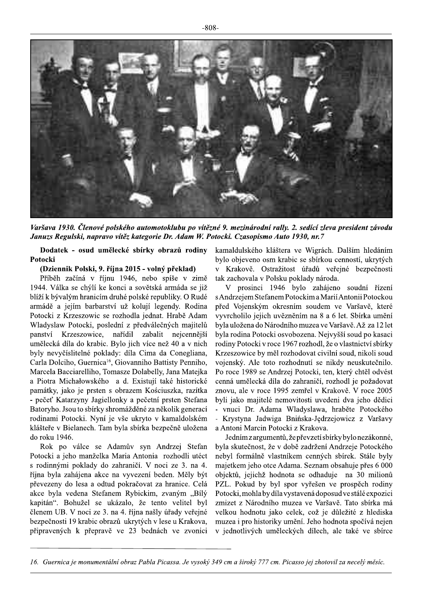

Varšava 1930. Členové polského automotoklubu po vítězné 9. mezinárodní rally. 2. sedící zleva president závodu Januzs Regulski, napravo vítěz kategorie Dr. Adam W. Potocki. Czasopismo Auto 1930, nr.7

Dodatek - osud umělecké sbírky obrazů rodiny Potocki

## (Dziennik Polski, 9. října 2015 - volný překlad)

Příběh začíná v říjnu 1946, nebo spíše v zimě 1944. Válka se chýlí ke konci a sovětská armáda se již blíží k bývalým hranicím druhé polské republiky. O Rudé armádě a jejím barbarství už kolují legendy. Rodina Potocki z Krzeszowic se rozhodla jednat. Hrabě Adam Wladyslaw Potocki, poslední z předválečných majitelů panství Krzeszowice, nařídil zabalit nejcennější umělecká díla do krabic. Bylo jich více než 40 a v nich byly nevyčíslitelné poklady: díla Cima da Conegliana, Carla Dolciho, Guernica<sup>16</sup>, Giovanniho Battisty Penniho, Marcela Bacciarelliho, Tomasze Dolabelly, Jana Matejka a Piotra Michałowského a d. Existují také historické památky, jako je prsten s obrazem Kościuszka, razítka - pečeť Katarzyny Jagiellonky a pečetní prsten Stefana Batoryho. Jsou to sbírky shromážděné za několik generací rodinami Potocki. Nyní je vše ukryto v kamaldolském klášteře v Bielanech. Tam byla sbírka bezpečně uložena do roku 1946.

Rok po válce se Adamův syn Andrzej Stefan Potocki a jeho manželka Maria Antonia rozhodli utéct s rodinnými poklady do zahraničí. V noci ze 3. na 4. října byla zahájena akce na vyvezení beden. Měly být převezeny do lesa a odtud pokračovat za hranice. Celá akce byla vedena Stefanem Rybickim, zvaným "Bílý kapitán". Bohužel se ukázalo, že tento velitel byl členem UB. V noci ze 3. na 4. října našly úřady veřejné bezpečnosti 19 krabic obrazů ukrytých v lese u Krakova, připravených k přepravě ve 23 bednách ve zvonici kamaldulského kláštera ve Wigrách. Dalším hledáním bylo objeveno osm krabic se sbírkou cenností, ukrytých v Krakově. Ostražitost úřadů veřejné bezpečnosti tak zachovala v Polsku poklady národa.

V prosinci 1946 bylo zahájeno soudní řízení s Andrzejem Stefanem Potockim a Marií Antonii Potockou před Vojenským okresním soudem ve Varšavě, které vyvrcholilo jejich uvězněním na 8 a 6 let. Sbírka umění byla uložena do Národního muzea ve Varšavě. Až za 12 let byla rodina Potocki osvobozena. Nejvyšší soud po kasaci rodiny Potocki v roce 1967 rozhodl, že o vlastnictví sbírky Krzeszowice by měl rozhodovat civilní soud, nikoli soud vojenský. Ale toto rozhodnutí se nikdy neuskutečnilo. Po roce 1989 se Andrzej Potocki, ten, který chtěl odvést cenná umělecká díla do zahraničí, rozhodl je požadovat znovu, ale v roce 1995 zemřel v Krakově. V roce 2005 byli jako majitelé nemovitosti uvedeni dva jeho dědici - vnuci Dr. Adama Wladyslawa, hraběte Potockého - Krystyna Jadwiga Bnińska-Jędrzejowicz z Varšavy a Antoni Marcin Potocki z Krakova.

Jedním z argumentů, že převzetí sbírky bylo nezákonné, byla skutečnost, že v době zadržení Andrzeje Potockého nebyl formálně vlastníkem cenných sbírek. Stále byly majetkem jeho otce Adama. Seznam obsahuje přes 6 000 objektů, jejichž hodnota se odhaduje na 30 milionů PZL. Pokud by byl spor vyřešen ve prospěch rodiny Potocki, mohla by díla vystavená doposud ve stálé expozici zmizet z Národního muzea ve Varšavě. Tato sbírka má velkou hodnotu jako celek, což je důležité z hlediska muzea i pro historiky umění. Jeho hodnota spočívá nejen v jednotlivých uměleckých dílech, ale také ve sbírce

<sup>16.</sup> Guernica je monumentální obraz Pabla Picassa. Je vysoký 349 cm a široký 777 cm. Picasso jej zhotovil za necelý měsíc.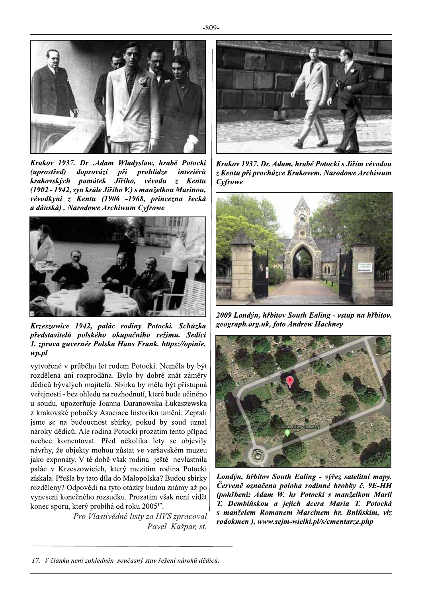

Krakov 1937. Dr .Adam Wladyslaw, hrabě Potocki<br>(uprostřed) doprovází při prohlídze interiérů (uprostřed) doprovází při prohlídze interiérů<br>krakovských památek Jiřího, vévodu z Kentu památek Jiřího, (1902 - 1942, syn krále Jiřího V.) s manželkou Marinou, vévodkyni z Kentu (1906–1968, princezna řecká<br>adánská). Narodowe Archiwum Cyfrowe Xrakov 1957. Dr .Aaam Widayslaw, hrabe Polocki | Krakov 1957. Dr. Adam, hrabe Potocki s Jiřim vevodou<br>(uprostřed) doprovází při prohlídze interiérů | z Kentu při procházce Krakovem. Narodowe Archiwum<br>krakovských



Krzeszowice 1942, palác rodiny Potocki. Schůzka představitelů polského okupačního režimu. Sedící 1. zprava guvernér Polska Hans Frank. https://opinie.<br>wp.pl Krzeszowice 1942, palác rodiny Potocki. Schůzka<br>představitelů polského okupačního režimu. Sedící<br>1. zprava guvernér Polska Hans Frank. https://opinie.<br>wp.pl

vytvorene v prubehu let rodem Potocki. Nemela by byt | rozdelena ani rozprodana. Bylo by dobre znat zamery  $\vert$ dédiců byvalych majitelů. Sbírka by měla byt přístupna  $\vert$ veřejností - bez ohledu na rozhodnutí, které bude učiněno | *ichty Potocki. Schůzka*<br> *okupačního režimu. Sedící*<br> *ka Hans Frank. https://opinie.*<br>
rodem Potocki. Neměla by být<br>
a. Bylo by dobré znát záměry<br>
2. Sbírka by měla být přístupná<br>
n rozhodnutí, které bude učiněno<br>
nma Da u soudu, upozornuje Joanna Darano *I. zprava guvernér Polska Hans Frank. https://opinie.*<br> *wp.pl*<br>
vytvořené v průběhu let rodem Potocki. Neměla by být<br>
rozdělena ani rozprodána. Bylo by dobré znát záměry<br>
dědiců bývalých majitelů. Sbírka by měla být přís z krakovské pobočky Asociace historiků umění. Zeptali jsme se na budoucnost sbirky, pokud by soud uznal  $\vert$ nároky dědiců. Ale rodina Potocki prozatím tento případ $\mid$ nechce komentovat. Před několika lety se objevily navrhy, ze objekty mohou zustat ve varsavskem muzeu  $\vert$ jako exponaty. V te dobe vsak rodina jeste nevlastnila  $\vert$ palac v Krzeszowicich, ktery mezitim rodina Potocki $\mid$ získala. Přešla by tato díla do Malopolska? Budou sbírky rozděleny? Odpovědí na tyto otázky budou známy až po  $\vert$ vyneseni konecneho rozsudku. Prozatim vsak neni videt  $\vert$ Jsme se na budoucnost sbirky, pokud<br>
nároky dědiců. Ale rodina Potocki proz<br>
nechce komentovat. Před několika<br>
návrhy, že objekty mohou zůstat ve va<br>
jako exponáty. V té době však rodina<br>
palác v Krzeszowicích, který mezit konec sporu, který probíhá od roku 2005''.

Pro Vlastivědné listy za HVS zpracoval Pavel Kašpar, st.







Londýn, hřbitov South Ealing - výřez satelitní mapy. Červeně označena poloha rodinné hrobky č. 9E-HH (pohřbeni: Adam W. hr Potocki s manželkou Marii T. Dembiňskou a jejich dcera Maria T. Potocká  $s$  manželem Romanem Marcinem hr. Bniňskim, viz rodokmen), www.sejm-wielki.pl/s/cmentarze.php